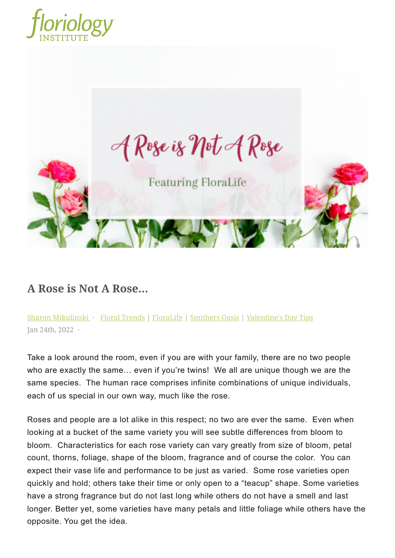



## **A Rose is Not A Rose...**

Take a look around the room, even if you are with your family, there are no two people who are exactly the same… even if you're twins! We all are unique though we are the same species. The human race comprises infinite combinations of unique individuals, each of us special in our own way, much like the rose.

Roses and people are a lot alike in this respect; no two are ever the same. Even when looking at a bucket of the same variety you will see subtle differences from bloom to bloom. Characteristics for each rose variety can vary greatly from size of bloom, petal count, thorns, foliage, shape of the bloom, fragrance and of course the color. You can expect their vase life and performance to be just as varied. Some rose varieties open quickly and hold; others take their time or only open to a "teacup" shape. Some varieties have a strong fragrance but do not last long while others do not have a smell and last longer. Better yet, some varieties have many petals and little foliage while others have the [Sharon Mikulinski](https://floriology.thinkific.com/pages/blog?a=sharon-mikulinski) · [Floral Trends](https://floriology.thinkific.com/pages/blog?c=floral-trends) | [FloraLife](https://floriology.thinkific.com/pages/blog?c=floralife) | [Smithers Oasis](https://floriology.thinkific.com/pages/blog?c=smithers-oasis) | [Valentine's Day Tips](https://floriology.thinkific.com/pages/blog?c=valentine-s-day-tips)<br>Jan 24th, 2022 ·<br>Take a look around the room, even if you are with your family, there are no to<br>who are exactly the same... even if you'